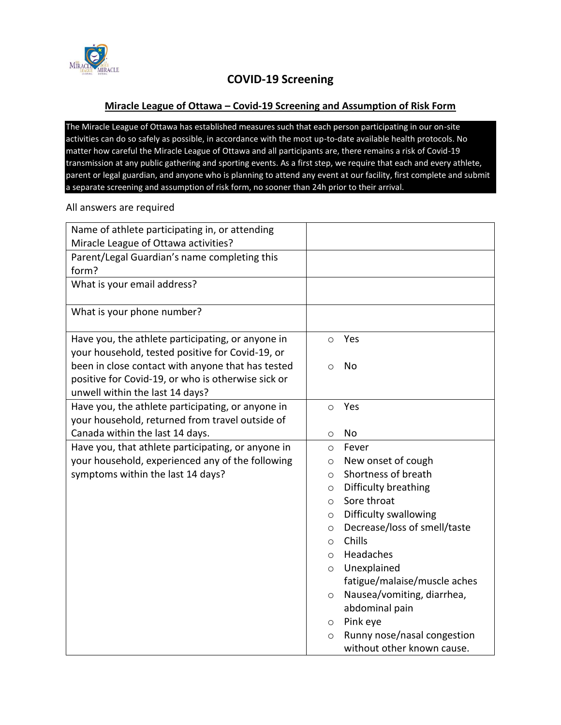

## **COVID-19 Screening**

### **Miracle League of Ottawa – Covid-19 Screening and Assumption of Risk Form**

The Miracle League of Ottawa has established measures such that each person participating in our on-site activities can do so safely as possible, in accordance with the most up-to-date available health protocols. No matter how careful the Miracle League of Ottawa and all participants are, there remains a risk of Covid-19 transmission at any public gathering and sporting events. As a first step, we require that each and every athlete, parent or legal guardian, and anyone who is planning to attend any event at our facility, first complete and submit a separate screening and assumption of risk form, no sooner than 24h prior to their arrival.

# Name of athlete participating in, or attending Miracle League of Ottawa activities? Parent/Legal Guardian's name completing this form? o Yes o No o Yes o No o Fever

#### All answers are required

| What is your email address?                                                                                             |  |
|-------------------------------------------------------------------------------------------------------------------------|--|
|                                                                                                                         |  |
| What is your phone number?                                                                                              |  |
| Have you, the athlete participating, or anyone in<br>Yes<br>$\circ$<br>your household, tested positive for Covid-19, or |  |
| been in close contact with anyone that has tested<br>No<br>$\circ$                                                      |  |
| positive for Covid-19, or who is otherwise sick or<br>unwell within the last 14 days?                                   |  |
| Have you, the athlete participating, or anyone in<br>Yes<br>$\circ$                                                     |  |
| your household, returned from travel outside of                                                                         |  |
| Canada within the last 14 days.<br><b>No</b><br>$\circ$                                                                 |  |
| Have you, that athlete participating, or anyone in<br>Fever<br>$\circ$                                                  |  |
| your household, experienced any of the following<br>New onset of cough<br>$\circ$                                       |  |
| Shortness of breath<br>symptoms within the last 14 days?<br>$\circ$                                                     |  |
| Difficulty breathing<br>$\circ$                                                                                         |  |
| Sore throat<br>$\circ$                                                                                                  |  |
| Difficulty swallowing<br>$\circ$                                                                                        |  |
| Decrease/loss of smell/taste<br>$\circ$                                                                                 |  |
| Chills<br>$\circ$                                                                                                       |  |
| Headaches<br>$\circ$                                                                                                    |  |
| Unexplained<br>$\circ$                                                                                                  |  |
| fatigue/malaise/muscle aches                                                                                            |  |
| Nausea/vomiting, diarrhea,<br>$\circ$                                                                                   |  |
| abdominal pain                                                                                                          |  |
| Pink eye<br>$\circ$                                                                                                     |  |
| Runny nose/nasal congestion<br>$\circ$                                                                                  |  |
| without other known cause.                                                                                              |  |